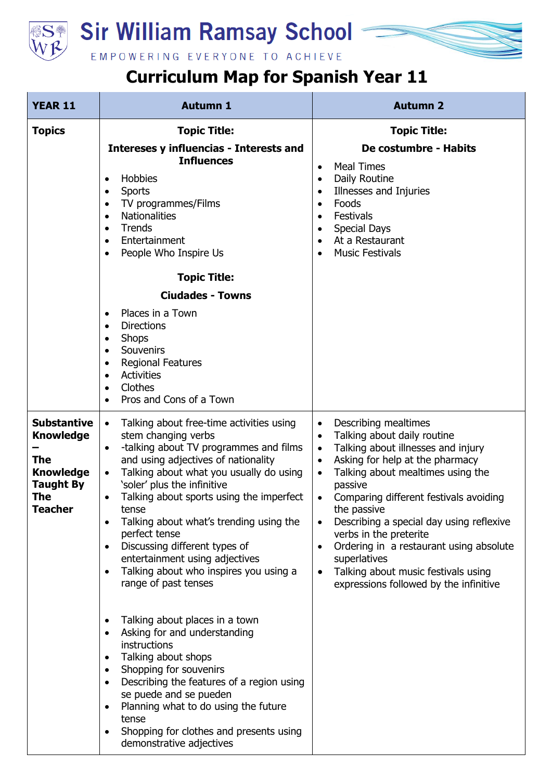

## **Sir William Ramsay School**

EMPOWERING EVERYONE TO ACHIEVE

## **Curriculum Map for Spanish Year 11**

| <b>YEAR 11</b>                                                                                                        | <b>Autumn 1</b>                                                                                                                                                                                                                                                                                                                                                                                                                                                                                                                      | <b>Autumn 2</b>                                                                                                                                                                                                                                                                                                                                                                                                                                                                                                                                         |
|-----------------------------------------------------------------------------------------------------------------------|--------------------------------------------------------------------------------------------------------------------------------------------------------------------------------------------------------------------------------------------------------------------------------------------------------------------------------------------------------------------------------------------------------------------------------------------------------------------------------------------------------------------------------------|---------------------------------------------------------------------------------------------------------------------------------------------------------------------------------------------------------------------------------------------------------------------------------------------------------------------------------------------------------------------------------------------------------------------------------------------------------------------------------------------------------------------------------------------------------|
| <b>Topics</b>                                                                                                         | <b>Topic Title:</b><br>Intereses y influencias - Interests and<br><b>Influences</b><br>Hobbies<br>$\bullet$<br>Sports<br>$\bullet$<br>TV programmes/Films<br>$\bullet$<br><b>Nationalities</b><br>$\bullet$<br><b>Trends</b><br>$\bullet$<br>Entertainment<br>$\bullet$<br>People Who Inspire Us<br>$\bullet$                                                                                                                                                                                                                        | <b>Topic Title:</b><br>De costumbre - Habits<br><b>Meal Times</b><br>$\bullet$<br>Daily Routine<br>$\bullet$<br>Illnesses and Injuries<br>$\bullet$<br>Foods<br>$\bullet$<br>Festivals<br>$\bullet$<br><b>Special Days</b><br>$\bullet$<br>At a Restaurant<br>$\bullet$<br><b>Music Festivals</b><br>$\bullet$                                                                                                                                                                                                                                          |
|                                                                                                                       | <b>Topic Title:</b><br><b>Ciudades - Towns</b><br>Places in a Town<br><b>Directions</b><br>$\bullet$<br><b>Shops</b><br>$\bullet$<br>Souvenirs<br>$\bullet$<br><b>Regional Features</b><br>$\bullet$<br><b>Activities</b><br>$\bullet$<br>Clothes<br>$\bullet$<br>Pros and Cons of a Town                                                                                                                                                                                                                                            |                                                                                                                                                                                                                                                                                                                                                                                                                                                                                                                                                         |
| <b>Substantive</b><br><b>Knowledge</b><br><b>The</b><br><b>Knowledge</b><br><b>Taught By</b><br>The<br><b>Teacher</b> | Talking about free-time activities using<br>$\bullet$<br>stem changing verbs<br>-talking about TV programmes and films<br>$\bullet$<br>and using adjectives of nationality<br>Talking about what you usually do using<br>$\bullet$<br>'soler' plus the infinitive<br>Talking about sports using the imperfect<br>tense<br>Talking about what's trending using the<br>perfect tense<br>Discussing different types of<br>$\bullet$<br>entertainment using adjectives<br>Talking about who inspires you using a<br>range of past tenses | Describing mealtimes<br>$\bullet$<br>Talking about daily routine<br>$\bullet$<br>Talking about illnesses and injury<br>$\bullet$<br>Asking for help at the pharmacy<br>$\bullet$<br>Talking about mealtimes using the<br>٠<br>passive<br>Comparing different festivals avoiding<br>$\bullet$<br>the passive<br>Describing a special day using reflexive<br>verbs in the preterite<br>Ordering in a restaurant using absolute<br>$\bullet$<br>superlatives<br>Talking about music festivals using<br>$\bullet$<br>expressions followed by the infinitive |
|                                                                                                                       | Talking about places in a town<br>Asking for and understanding<br>instructions<br>Talking about shops<br>$\bullet$<br>Shopping for souvenirs<br>Describing the features of a region using<br>se puede and se pueden<br>Planning what to do using the future<br>tense<br>Shopping for clothes and presents using<br>demonstrative adjectives                                                                                                                                                                                          |                                                                                                                                                                                                                                                                                                                                                                                                                                                                                                                                                         |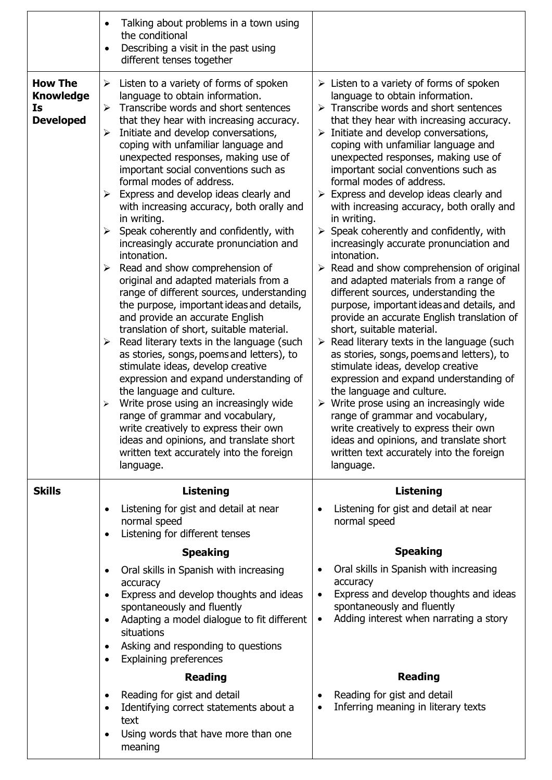|                                                              | Talking about problems in a town using<br>the conditional<br>Describing a visit in the past using<br>different tenses together                                                                                                                                                                                                                                                                                                                                                                                                                                                                                                                                                                                                                                                                                                                                                                                                                                                                                                                                                                                                                                                                                                                                                                                                                           |                                                                                                                                                                                                                                                                                                                                                                                                                                                                                                                                                                                                                                                                                                                                                                                                                                                                                                                                                                                                                                                                                                                                                                                                                                                                                                                                                                                                      |
|--------------------------------------------------------------|----------------------------------------------------------------------------------------------------------------------------------------------------------------------------------------------------------------------------------------------------------------------------------------------------------------------------------------------------------------------------------------------------------------------------------------------------------------------------------------------------------------------------------------------------------------------------------------------------------------------------------------------------------------------------------------------------------------------------------------------------------------------------------------------------------------------------------------------------------------------------------------------------------------------------------------------------------------------------------------------------------------------------------------------------------------------------------------------------------------------------------------------------------------------------------------------------------------------------------------------------------------------------------------------------------------------------------------------------------|------------------------------------------------------------------------------------------------------------------------------------------------------------------------------------------------------------------------------------------------------------------------------------------------------------------------------------------------------------------------------------------------------------------------------------------------------------------------------------------------------------------------------------------------------------------------------------------------------------------------------------------------------------------------------------------------------------------------------------------------------------------------------------------------------------------------------------------------------------------------------------------------------------------------------------------------------------------------------------------------------------------------------------------------------------------------------------------------------------------------------------------------------------------------------------------------------------------------------------------------------------------------------------------------------------------------------------------------------------------------------------------------------|
| <b>How The</b><br><b>Knowledge</b><br>Is<br><b>Developed</b> | Listen to a variety of forms of spoken<br>➤<br>language to obtain information.<br>Transcribe words and short sentences<br>➤<br>that they hear with increasing accuracy.<br>Initiate and develop conversations,<br>➤<br>coping with unfamiliar language and<br>unexpected responses, making use of<br>important social conventions such as<br>formal modes of address.<br>Express and develop ideas clearly and<br>➤<br>with increasing accuracy, both orally and<br>in writing.<br>Speak coherently and confidently, with<br>$\blacktriangleright$<br>increasingly accurate pronunciation and<br>intonation.<br>Read and show comprehension of<br>➤<br>original and adapted materials from a<br>range of different sources, understanding<br>the purpose, important ideas and details,<br>and provide an accurate English<br>translation of short, suitable material.<br>Read literary texts in the language (such<br>$\blacktriangleright$<br>as stories, songs, poems and letters), to<br>stimulate ideas, develop creative<br>expression and expand understanding of<br>the language and culture.<br>Write prose using an increasingly wide<br>$\blacktriangleright$<br>range of grammar and vocabulary,<br>write creatively to express their own<br>ideas and opinions, and translate short<br>written text accurately into the foreign<br>language. | $\triangleright$ Listen to a variety of forms of spoken<br>language to obtain information.<br>$\triangleright$ Transcribe words and short sentences<br>that they hear with increasing accuracy.<br>$\triangleright$ Initiate and develop conversations,<br>coping with unfamiliar language and<br>unexpected responses, making use of<br>important social conventions such as<br>formal modes of address.<br>$\triangleright$ Express and develop ideas clearly and<br>with increasing accuracy, both orally and<br>in writing.<br>Speak coherently and confidently, with<br>$\blacktriangleright$<br>increasingly accurate pronunciation and<br>intonation.<br>$\triangleright$ Read and show comprehension of original<br>and adapted materials from a range of<br>different sources, understanding the<br>purpose, important ideas and details, and<br>provide an accurate English translation of<br>short, suitable material.<br>$\triangleright$ Read literary texts in the language (such<br>as stories, songs, poems and letters), to<br>stimulate ideas, develop creative<br>expression and expand understanding of<br>the language and culture.<br>$\triangleright$ Write prose using an increasingly wide<br>range of grammar and vocabulary,<br>write creatively to express their own<br>ideas and opinions, and translate short<br>written text accurately into the foreign<br>language. |
| <b>Skills</b>                                                | <b>Listening</b>                                                                                                                                                                                                                                                                                                                                                                                                                                                                                                                                                                                                                                                                                                                                                                                                                                                                                                                                                                                                                                                                                                                                                                                                                                                                                                                                         | <b>Listening</b>                                                                                                                                                                                                                                                                                                                                                                                                                                                                                                                                                                                                                                                                                                                                                                                                                                                                                                                                                                                                                                                                                                                                                                                                                                                                                                                                                                                     |
|                                                              | Listening for gist and detail at near<br>$\bullet$<br>normal speed<br>Listening for different tenses<br>$\bullet$                                                                                                                                                                                                                                                                                                                                                                                                                                                                                                                                                                                                                                                                                                                                                                                                                                                                                                                                                                                                                                                                                                                                                                                                                                        | Listening for gist and detail at near<br>$\bullet$<br>normal speed                                                                                                                                                                                                                                                                                                                                                                                                                                                                                                                                                                                                                                                                                                                                                                                                                                                                                                                                                                                                                                                                                                                                                                                                                                                                                                                                   |
|                                                              | <b>Speaking</b>                                                                                                                                                                                                                                                                                                                                                                                                                                                                                                                                                                                                                                                                                                                                                                                                                                                                                                                                                                                                                                                                                                                                                                                                                                                                                                                                          | <b>Speaking</b>                                                                                                                                                                                                                                                                                                                                                                                                                                                                                                                                                                                                                                                                                                                                                                                                                                                                                                                                                                                                                                                                                                                                                                                                                                                                                                                                                                                      |
|                                                              | Oral skills in Spanish with increasing<br>accuracy<br>Express and develop thoughts and ideas<br>$\bullet$<br>spontaneously and fluently<br>Adapting a model dialogue to fit different<br>$\bullet$<br>situations<br>Asking and responding to questions<br>$\bullet$<br><b>Explaining preferences</b>                                                                                                                                                                                                                                                                                                                                                                                                                                                                                                                                                                                                                                                                                                                                                                                                                                                                                                                                                                                                                                                     | Oral skills in Spanish with increasing<br>$\bullet$<br>accuracy<br>Express and develop thoughts and ideas<br>$\bullet$<br>spontaneously and fluently<br>Adding interest when narrating a story<br>$\bullet$                                                                                                                                                                                                                                                                                                                                                                                                                                                                                                                                                                                                                                                                                                                                                                                                                                                                                                                                                                                                                                                                                                                                                                                          |
|                                                              | <b>Reading</b>                                                                                                                                                                                                                                                                                                                                                                                                                                                                                                                                                                                                                                                                                                                                                                                                                                                                                                                                                                                                                                                                                                                                                                                                                                                                                                                                           | <b>Reading</b>                                                                                                                                                                                                                                                                                                                                                                                                                                                                                                                                                                                                                                                                                                                                                                                                                                                                                                                                                                                                                                                                                                                                                                                                                                                                                                                                                                                       |
|                                                              | Reading for gist and detail<br>$\bullet$<br>Identifying correct statements about a<br>$\bullet$<br>text<br>Using words that have more than one<br>meaning                                                                                                                                                                                                                                                                                                                                                                                                                                                                                                                                                                                                                                                                                                                                                                                                                                                                                                                                                                                                                                                                                                                                                                                                | Reading for gist and detail<br>$\bullet$<br>Inferring meaning in literary texts<br>$\bullet$                                                                                                                                                                                                                                                                                                                                                                                                                                                                                                                                                                                                                                                                                                                                                                                                                                                                                                                                                                                                                                                                                                                                                                                                                                                                                                         |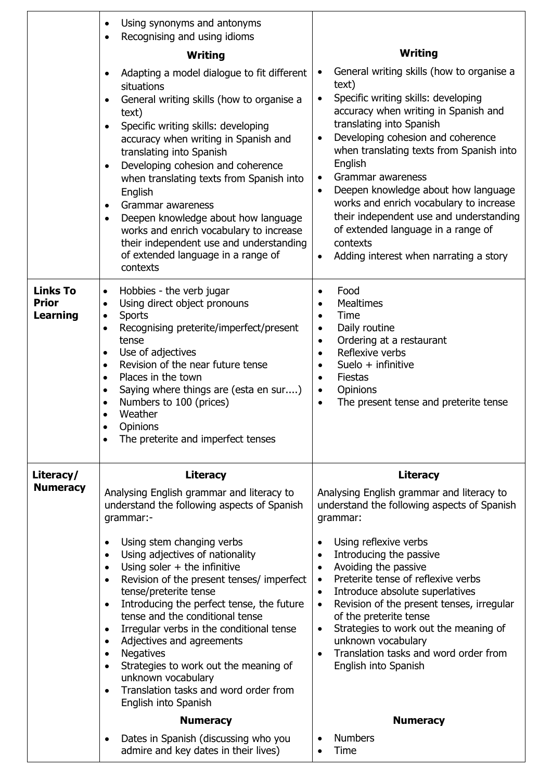|                                                    | Using synonyms and antonyms<br>$\bullet$<br>Recognising and using idioms<br>$\bullet$<br>Writing<br>Adapting a model dialogue to fit different<br>$\bullet$<br>situations<br>General writing skills (how to organise a<br>text)<br>Specific writing skills: developing<br>$\bullet$<br>accuracy when writing in Spanish and<br>translating into Spanish                                                                                                                                                                                                                                                                                                                                                                                         | Writing<br>General writing skills (how to organise a<br>text)<br>Specific writing skills: developing<br>$\bullet$<br>accuracy when writing in Spanish and<br>translating into Spanish<br>Developing cohesion and coherence<br>$\bullet$<br>when translating texts from Spanish into                                                                                                                                                                                                                                                                                                       |
|----------------------------------------------------|-------------------------------------------------------------------------------------------------------------------------------------------------------------------------------------------------------------------------------------------------------------------------------------------------------------------------------------------------------------------------------------------------------------------------------------------------------------------------------------------------------------------------------------------------------------------------------------------------------------------------------------------------------------------------------------------------------------------------------------------------|-------------------------------------------------------------------------------------------------------------------------------------------------------------------------------------------------------------------------------------------------------------------------------------------------------------------------------------------------------------------------------------------------------------------------------------------------------------------------------------------------------------------------------------------------------------------------------------------|
|                                                    | Developing cohesion and coherence<br>$\bullet$<br>when translating texts from Spanish into<br>English<br>Grammar awareness<br>$\bullet$<br>Deepen knowledge about how language<br>$\bullet$<br>works and enrich vocabulary to increase<br>their independent use and understanding<br>of extended language in a range of<br>contexts                                                                                                                                                                                                                                                                                                                                                                                                             | English<br>Grammar awareness<br>$\bullet$<br>Deepen knowledge about how language<br>$\bullet$<br>works and enrich vocabulary to increase<br>their independent use and understanding<br>of extended language in a range of<br>contexts<br>Adding interest when narrating a story<br>$\bullet$                                                                                                                                                                                                                                                                                              |
| <b>Links To</b><br><b>Prior</b><br><b>Learning</b> | Hobbies - the verb jugar<br>$\bullet$<br>Using direct object pronouns<br>$\bullet$<br><b>Sports</b><br>$\bullet$<br>Recognising preterite/imperfect/present<br>$\bullet$<br>tense<br>Use of adjectives<br>$\bullet$<br>Revision of the near future tense<br>$\bullet$<br>Places in the town<br>$\bullet$<br>Saying where things are (esta en sur)<br>$\bullet$<br>Numbers to 100 (prices)<br>$\bullet$<br>Weather<br>Opinions<br>The preterite and imperfect tenses<br>$\bullet$                                                                                                                                                                                                                                                                | Food<br>٠<br><b>Mealtimes</b><br>$\bullet$<br>Time<br>$\bullet$<br>Daily routine<br>$\bullet$<br>Ordering at a restaurant<br>$\bullet$<br>Reflexive verbs<br>$\bullet$<br>Suelo $+$ infinitive<br>$\bullet$<br>Fiestas<br>$\bullet$<br>Opinions<br>$\bullet$<br>The present tense and preterite tense<br>$\bullet$                                                                                                                                                                                                                                                                        |
| Literacy/<br><b>Numeracy</b>                       | <b>Literacy</b><br>Analysing English grammar and literacy to<br>understand the following aspects of Spanish<br>grammar:-<br>Using stem changing verbs<br>$\bullet$<br>Using adjectives of nationality<br>$\bullet$<br>Using soler $+$ the infinitive<br>$\bullet$<br>Revision of the present tenses/ imperfect<br>$\bullet$<br>tense/preterite tense<br>Introducing the perfect tense, the future<br>$\bullet$<br>tense and the conditional tense<br>Irregular verbs in the conditional tense<br>$\bullet$<br>Adjectives and agreements<br>$\bullet$<br><b>Negatives</b><br>$\bullet$<br>Strategies to work out the meaning of<br>$\bullet$<br>unknown vocabulary<br>Translation tasks and word order from<br>$\bullet$<br>English into Spanish | <b>Literacy</b><br>Analysing English grammar and literacy to<br>understand the following aspects of Spanish<br>grammar:<br>Using reflexive verbs<br>٠<br>Introducing the passive<br>$\bullet$<br>Avoiding the passive<br>$\bullet$<br>Preterite tense of reflexive verbs<br>$\bullet$<br>Introduce absolute superlatives<br>$\bullet$<br>Revision of the present tenses, irregular<br>$\bullet$<br>of the preterite tense<br>Strategies to work out the meaning of<br>$\bullet$<br>unknown vocabulary<br>Translation tasks and word order from<br>English into Spanish<br><b>Numeracy</b> |
|                                                    | <b>Numeracy</b><br>Dates in Spanish (discussing who you                                                                                                                                                                                                                                                                                                                                                                                                                                                                                                                                                                                                                                                                                         | <b>Numbers</b>                                                                                                                                                                                                                                                                                                                                                                                                                                                                                                                                                                            |
|                                                    | admire and key dates in their lives)                                                                                                                                                                                                                                                                                                                                                                                                                                                                                                                                                                                                                                                                                                            | Time                                                                                                                                                                                                                                                                                                                                                                                                                                                                                                                                                                                      |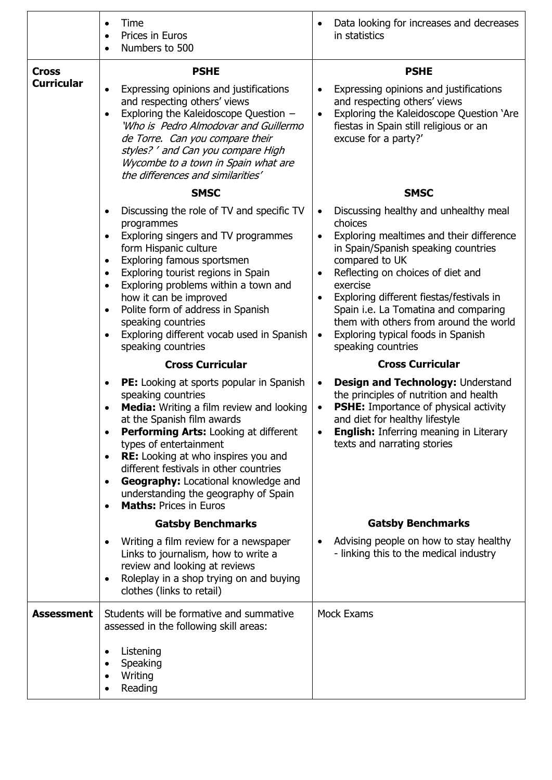|                                   | Time<br>Prices in Euros<br>$\bullet$<br>Numbers to 500<br>$\bullet$                                                                                                                                                                                                                                                                                                                                                                                                           | Data looking for increases and decreases<br>in statistics                                                                                                                                                                                                                                                                                                                                                                               |
|-----------------------------------|-------------------------------------------------------------------------------------------------------------------------------------------------------------------------------------------------------------------------------------------------------------------------------------------------------------------------------------------------------------------------------------------------------------------------------------------------------------------------------|-----------------------------------------------------------------------------------------------------------------------------------------------------------------------------------------------------------------------------------------------------------------------------------------------------------------------------------------------------------------------------------------------------------------------------------------|
| <b>Cross</b><br><b>Curricular</b> | <b>PSHE</b><br>Expressing opinions and justifications<br>and respecting others' views<br>Exploring the Kaleidoscope Question -<br>$\bullet$<br>'Who is Pedro Almodovar and Guillermo<br>de Torre. Can you compare their<br>styles? ' and Can you compare High<br>Wycombe to a town in Spain what are                                                                                                                                                                          | <b>PSHE</b><br>Expressing opinions and justifications<br>and respecting others' views<br>Exploring the Kaleidoscope Question 'Are<br>$\bullet$<br>fiestas in Spain still religious or an<br>excuse for a party?'                                                                                                                                                                                                                        |
|                                   | the differences and similarities'<br><b>SMSC</b>                                                                                                                                                                                                                                                                                                                                                                                                                              | <b>SMSC</b>                                                                                                                                                                                                                                                                                                                                                                                                                             |
|                                   | Discussing the role of TV and specific TV<br>programmes<br>Exploring singers and TV programmes<br>$\bullet$<br>form Hispanic culture<br>Exploring famous sportsmen<br>$\bullet$<br>Exploring tourist regions in Spain<br>$\bullet$<br>Exploring problems within a town and<br>$\bullet$<br>how it can be improved<br>Polite form of address in Spanish<br>$\bullet$<br>speaking countries<br>Exploring different vocab used in Spanish<br>speaking countries                  | Discussing healthy and unhealthy meal<br>choices<br>Exploring mealtimes and their difference<br>$\bullet$<br>in Spain/Spanish speaking countries<br>compared to UK<br>Reflecting on choices of diet and<br>exercise<br>Exploring different fiestas/festivals in<br>$\bullet$<br>Spain i.e. La Tomatina and comparing<br>them with others from around the world<br>Exploring typical foods in Spanish<br>$\bullet$<br>speaking countries |
|                                   | <b>Cross Curricular</b>                                                                                                                                                                                                                                                                                                                                                                                                                                                       | <b>Cross Curricular</b>                                                                                                                                                                                                                                                                                                                                                                                                                 |
|                                   | <b>PE:</b> Looking at sports popular in Spanish<br>$\bullet$<br>speaking countries<br>Media: Writing a film review and looking<br>at the Spanish film awards<br>Performing Arts: Looking at different<br>$\bullet$<br>types of entertainment<br><b>RE:</b> Looking at who inspires you and<br>٠<br>different festivals in other countries<br><b>Geography:</b> Locational knowledge and<br>$\bullet$<br>understanding the geography of Spain<br><b>Maths: Prices in Euros</b> | Design and Technology: Understand<br>the principles of nutrition and health<br><b>PSHE:</b> Importance of physical activity<br>and diet for healthy lifestyle<br><b>English:</b> Inferring meaning in Literary<br>texts and narrating stories                                                                                                                                                                                           |
|                                   | <b>Gatsby Benchmarks</b>                                                                                                                                                                                                                                                                                                                                                                                                                                                      | <b>Gatsby Benchmarks</b>                                                                                                                                                                                                                                                                                                                                                                                                                |
|                                   | Writing a film review for a newspaper<br>Links to journalism, how to write a<br>review and looking at reviews<br>Roleplay in a shop trying on and buying<br>clothes (links to retail)                                                                                                                                                                                                                                                                                         | Advising people on how to stay healthy<br>- linking this to the medical industry                                                                                                                                                                                                                                                                                                                                                        |
| <b>Assessment</b>                 |                                                                                                                                                                                                                                                                                                                                                                                                                                                                               |                                                                                                                                                                                                                                                                                                                                                                                                                                         |
|                                   | Students will be formative and summative<br>assessed in the following skill areas:                                                                                                                                                                                                                                                                                                                                                                                            | <b>Mock Exams</b>                                                                                                                                                                                                                                                                                                                                                                                                                       |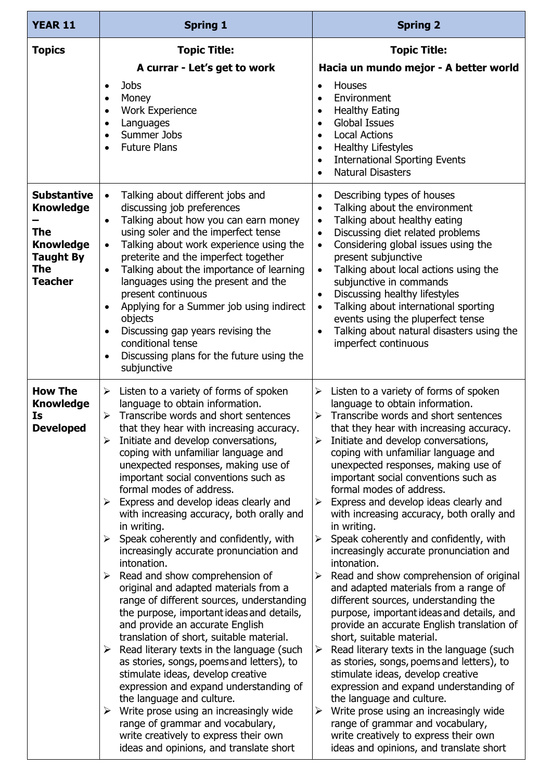| <b>YEAR 11</b>                                                                                                               | <b>Spring 1</b>                                                                                                                                                                                                                                                                                                                                                                                                                                                                                                                                                                                                                                                                                                                                                                                                                                                                                                                                                                                                                                                                                                                                                                                                                                                                                                     | <b>Spring 2</b>                                                                                                                                                                                                                                                                                                                                                                                                                                                                                                                                                                                                                                                                                                                                                                                                                                                                                                                                                                                                                                                                                                                                                                                                                                                                                                |
|------------------------------------------------------------------------------------------------------------------------------|---------------------------------------------------------------------------------------------------------------------------------------------------------------------------------------------------------------------------------------------------------------------------------------------------------------------------------------------------------------------------------------------------------------------------------------------------------------------------------------------------------------------------------------------------------------------------------------------------------------------------------------------------------------------------------------------------------------------------------------------------------------------------------------------------------------------------------------------------------------------------------------------------------------------------------------------------------------------------------------------------------------------------------------------------------------------------------------------------------------------------------------------------------------------------------------------------------------------------------------------------------------------------------------------------------------------|----------------------------------------------------------------------------------------------------------------------------------------------------------------------------------------------------------------------------------------------------------------------------------------------------------------------------------------------------------------------------------------------------------------------------------------------------------------------------------------------------------------------------------------------------------------------------------------------------------------------------------------------------------------------------------------------------------------------------------------------------------------------------------------------------------------------------------------------------------------------------------------------------------------------------------------------------------------------------------------------------------------------------------------------------------------------------------------------------------------------------------------------------------------------------------------------------------------------------------------------------------------------------------------------------------------|
| <b>Topics</b>                                                                                                                | <b>Topic Title:</b>                                                                                                                                                                                                                                                                                                                                                                                                                                                                                                                                                                                                                                                                                                                                                                                                                                                                                                                                                                                                                                                                                                                                                                                                                                                                                                 | <b>Topic Title:</b>                                                                                                                                                                                                                                                                                                                                                                                                                                                                                                                                                                                                                                                                                                                                                                                                                                                                                                                                                                                                                                                                                                                                                                                                                                                                                            |
|                                                                                                                              | A currar - Let's get to work<br><b>Jobs</b><br>$\bullet$<br>Money<br>$\bullet$<br><b>Work Experience</b><br>$\bullet$<br>Languages<br>$\bullet$<br>Summer Jobs<br>$\bullet$<br><b>Future Plans</b><br>$\bullet$                                                                                                                                                                                                                                                                                                                                                                                                                                                                                                                                                                                                                                                                                                                                                                                                                                                                                                                                                                                                                                                                                                     | Hacia un mundo mejor - A better world<br>Houses<br>$\bullet$<br>Environment<br>$\bullet$<br><b>Healthy Eating</b><br>$\bullet$<br><b>Global Issues</b><br>$\bullet$<br><b>Local Actions</b><br>$\bullet$<br><b>Healthy Lifestyles</b><br>$\bullet$<br><b>International Sporting Events</b><br>$\bullet$<br><b>Natural Disasters</b><br>$\bullet$                                                                                                                                                                                                                                                                                                                                                                                                                                                                                                                                                                                                                                                                                                                                                                                                                                                                                                                                                               |
| <b>Substantive</b><br><b>Knowledge</b><br><b>The</b><br><b>Knowledge</b><br><b>Taught By</b><br><b>The</b><br><b>Teacher</b> | Talking about different jobs and<br>$\bullet$<br>discussing job preferences<br>Talking about how you can earn money<br>using soler and the imperfect tense<br>Talking about work experience using the<br>$\bullet$<br>preterite and the imperfect together<br>Talking about the importance of learning<br>languages using the present and the<br>present continuous<br>Applying for a Summer job using indirect<br>$\bullet$<br>objects<br>Discussing gap years revising the<br>conditional tense<br>Discussing plans for the future using the<br>$\bullet$<br>subjunctive                                                                                                                                                                                                                                                                                                                                                                                                                                                                                                                                                                                                                                                                                                                                          | Describing types of houses<br>$\bullet$<br>Talking about the environment<br>$\bullet$<br>Talking about healthy eating<br>$\bullet$<br>Discussing diet related problems<br>$\bullet$<br>Considering global issues using the<br>$\bullet$<br>present subjunctive<br>Talking about local actions using the<br>$\bullet$<br>subjunctive in commands<br>Discussing healthy lifestyles<br>$\bullet$<br>Talking about international sporting<br>$\bullet$<br>events using the pluperfect tense<br>Talking about natural disasters using the<br>imperfect continuous                                                                                                                                                                                                                                                                                                                                                                                                                                                                                                                                                                                                                                                                                                                                                   |
| <b>How The</b><br><b>Knowledge</b><br>Is<br><b>Developed</b>                                                                 | Listen to a variety of forms of spoken<br>$\blacktriangleright$<br>language to obtain information.<br>Transcribe words and short sentences<br>➤<br>that they hear with increasing accuracy.<br>Initiate and develop conversations,<br>$\blacktriangleright$<br>coping with unfamiliar language and<br>unexpected responses, making use of<br>important social conventions such as<br>formal modes of address.<br>Express and develop ideas clearly and<br>$\blacktriangleright$<br>with increasing accuracy, both orally and<br>in writing.<br>Speak coherently and confidently, with<br>➤<br>increasingly accurate pronunciation and<br>intonation.<br>Read and show comprehension of<br>➤<br>original and adapted materials from a<br>range of different sources, understanding<br>the purpose, important ideas and details,<br>and provide an accurate English<br>translation of short, suitable material.<br>Read literary texts in the language (such<br>➤<br>as stories, songs, poems and letters), to<br>stimulate ideas, develop creative<br>expression and expand understanding of<br>the language and culture.<br>Write prose using an increasingly wide<br>$\blacktriangleright$<br>range of grammar and vocabulary,<br>write creatively to express their own<br>ideas and opinions, and translate short | Listen to a variety of forms of spoken<br>$\blacktriangleright$<br>language to obtain information.<br>Transcribe words and short sentences<br>$\blacktriangleright$<br>that they hear with increasing accuracy.<br>Initiate and develop conversations,<br>$\blacktriangleright$<br>coping with unfamiliar language and<br>unexpected responses, making use of<br>important social conventions such as<br>formal modes of address.<br>Express and develop ideas clearly and<br>$\blacktriangleright$<br>with increasing accuracy, both orally and<br>in writing.<br>Speak coherently and confidently, with<br>➤<br>increasingly accurate pronunciation and<br>intonation.<br>Read and show comprehension of original<br>and adapted materials from a range of<br>different sources, understanding the<br>purpose, important ideas and details, and<br>provide an accurate English translation of<br>short, suitable material.<br>Read literary texts in the language (such<br>➤<br>as stories, songs, poems and letters), to<br>stimulate ideas, develop creative<br>expression and expand understanding of<br>the language and culture.<br>Write prose using an increasingly wide<br>➤<br>range of grammar and vocabulary,<br>write creatively to express their own<br>ideas and opinions, and translate short |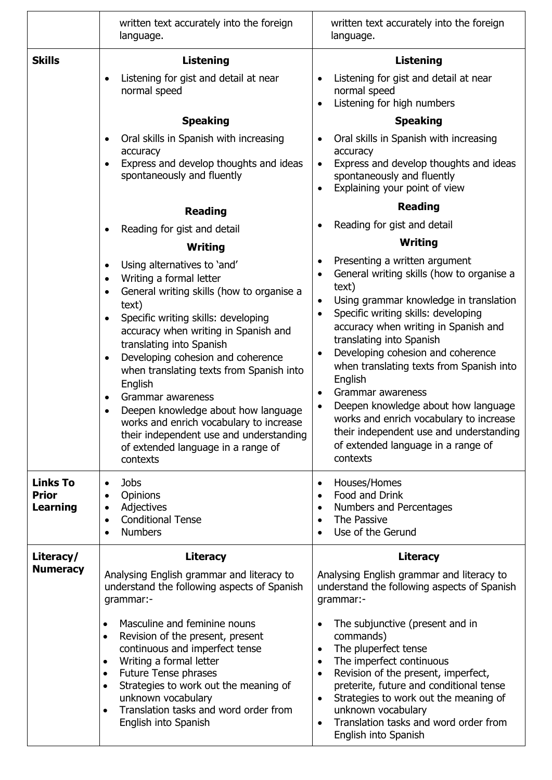|                                                    | written text accurately into the foreign<br>language.                                                                                                                                                                                                                                                                                                                                                                                                                                                                                                                                                                                                                                                                                                                                                                                                                   | written text accurately into the foreign<br>language.                                                                                                                                                                                                                                                                                                                                                                                                                                                                                                                                                                                                                                                                                                                                                                                                                                                                                                                                  |
|----------------------------------------------------|-------------------------------------------------------------------------------------------------------------------------------------------------------------------------------------------------------------------------------------------------------------------------------------------------------------------------------------------------------------------------------------------------------------------------------------------------------------------------------------------------------------------------------------------------------------------------------------------------------------------------------------------------------------------------------------------------------------------------------------------------------------------------------------------------------------------------------------------------------------------------|----------------------------------------------------------------------------------------------------------------------------------------------------------------------------------------------------------------------------------------------------------------------------------------------------------------------------------------------------------------------------------------------------------------------------------------------------------------------------------------------------------------------------------------------------------------------------------------------------------------------------------------------------------------------------------------------------------------------------------------------------------------------------------------------------------------------------------------------------------------------------------------------------------------------------------------------------------------------------------------|
| <b>Skills</b>                                      | <b>Listening</b><br>Listening for gist and detail at near<br>$\bullet$<br>normal speed<br><b>Speaking</b><br>Oral skills in Spanish with increasing<br>$\bullet$<br>accuracy<br>Express and develop thoughts and ideas<br>spontaneously and fluently<br><b>Reading</b><br>Reading for gist and detail<br>Writing<br>Using alternatives to 'and'<br>$\bullet$<br>Writing a formal letter<br>$\bullet$<br>General writing skills (how to organise a<br>$\bullet$<br>text)<br>Specific writing skills: developing<br>$\bullet$<br>accuracy when writing in Spanish and<br>translating into Spanish<br>Developing cohesion and coherence<br>$\bullet$<br>when translating texts from Spanish into<br>English<br>Grammar awareness<br>$\bullet$<br>Deepen knowledge about how language<br>works and enrich vocabulary to increase<br>their independent use and understanding | <b>Listening</b><br>Listening for gist and detail at near<br>$\bullet$<br>normal speed<br>Listening for high numbers<br>$\bullet$<br><b>Speaking</b><br>Oral skills in Spanish with increasing<br>$\bullet$<br>accuracy<br>Express and develop thoughts and ideas<br>$\bullet$<br>spontaneously and fluently<br>Explaining your point of view<br>$\bullet$<br><b>Reading</b><br>Reading for gist and detail<br>٠<br>Writing<br>Presenting a written argument<br>General writing skills (how to organise a<br>$\bullet$<br>text)<br>Using grammar knowledge in translation<br>$\bullet$<br>Specific writing skills: developing<br>$\bullet$<br>accuracy when writing in Spanish and<br>translating into Spanish<br>Developing cohesion and coherence<br>$\bullet$<br>when translating texts from Spanish into<br>English<br>Grammar awareness<br>$\bullet$<br>Deepen knowledge about how language<br>works and enrich vocabulary to increase<br>their independent use and understanding |
|                                                    | of extended language in a range of<br>contexts                                                                                                                                                                                                                                                                                                                                                                                                                                                                                                                                                                                                                                                                                                                                                                                                                          | of extended language in a range of<br>contexts                                                                                                                                                                                                                                                                                                                                                                                                                                                                                                                                                                                                                                                                                                                                                                                                                                                                                                                                         |
| <b>Links To</b><br><b>Prior</b><br><b>Learning</b> | <b>Jobs</b><br>$\bullet$<br>Opinions<br>$\bullet$<br>Adjectives<br>$\bullet$<br><b>Conditional Tense</b><br>$\bullet$<br><b>Numbers</b><br>$\bullet$                                                                                                                                                                                                                                                                                                                                                                                                                                                                                                                                                                                                                                                                                                                    | Houses/Homes<br>٠<br>Food and Drink<br>$\bullet$<br>Numbers and Percentages<br>The Passive<br>$\bullet$<br>Use of the Gerund                                                                                                                                                                                                                                                                                                                                                                                                                                                                                                                                                                                                                                                                                                                                                                                                                                                           |
| Literacy/<br><b>Numeracy</b>                       | <b>Literacy</b><br>Analysing English grammar and literacy to<br>understand the following aspects of Spanish<br>grammar:-<br>Masculine and feminine nouns<br>$\bullet$<br>Revision of the present, present<br>$\bullet$<br>continuous and imperfect tense<br>Writing a formal letter<br>$\bullet$<br><b>Future Tense phrases</b><br>$\bullet$<br>Strategies to work out the meaning of<br>$\bullet$<br>unknown vocabulary<br>Translation tasks and word order from<br>$\bullet$<br>English into Spanish                                                                                                                                                                                                                                                                                                                                                                  | <b>Literacy</b><br>Analysing English grammar and literacy to<br>understand the following aspects of Spanish<br>grammar:-<br>The subjunctive (present and in<br>$\bullet$<br>commands)<br>The pluperfect tense<br>$\bullet$<br>The imperfect continuous<br>$\bullet$<br>Revision of the present, imperfect,<br>$\bullet$<br>preterite, future and conditional tense<br>Strategies to work out the meaning of<br>٠<br>unknown vocabulary<br>Translation tasks and word order from<br>$\bullet$<br>English into Spanish                                                                                                                                                                                                                                                                                                                                                                                                                                                                   |